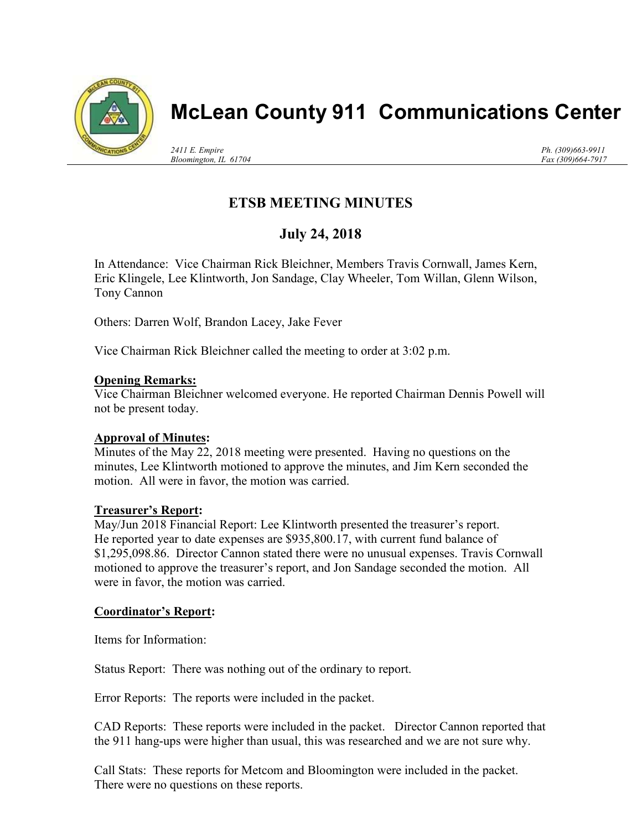

# McLean County 911 Communications Center

2411 E. Empire Bloomington, IL 61704 Ph. (309)663-9911 Fax (309)664-7917

# ETSB MEETING MINUTES

## July 24, 2018

In Attendance: Vice Chairman Rick Bleichner, Members Travis Cornwall, James Kern, Eric Klingele, Lee Klintworth, Jon Sandage, Clay Wheeler, Tom Willan, Glenn Wilson, Tony Cannon

Others: Darren Wolf, Brandon Lacey, Jake Fever

Vice Chairman Rick Bleichner called the meeting to order at 3:02 p.m.

#### **Opening Remarks:**

Vice Chairman Bleichner welcomed everyone. He reported Chairman Dennis Powell will not be present today.

## Approval of Minutes:

Minutes of the May 22, 2018 meeting were presented. Having no questions on the minutes, Lee Klintworth motioned to approve the minutes, and Jim Kern seconded the motion. All were in favor, the motion was carried.

#### Treasurer's Report:

May/Jun 2018 Financial Report: Lee Klintworth presented the treasurer's report. He reported year to date expenses are \$935,800.17, with current fund balance of \$1,295,098.86. Director Cannon stated there were no unusual expenses. Travis Cornwall motioned to approve the treasurer's report, and Jon Sandage seconded the motion. All were in favor, the motion was carried.

## Coordinator's Report:

Items for Information:

Status Report: There was nothing out of the ordinary to report.

Error Reports: The reports were included in the packet.

CAD Reports: These reports were included in the packet. Director Cannon reported that the 911 hang-ups were higher than usual, this was researched and we are not sure why.

Call Stats: These reports for Metcom and Bloomington were included in the packet. There were no questions on these reports.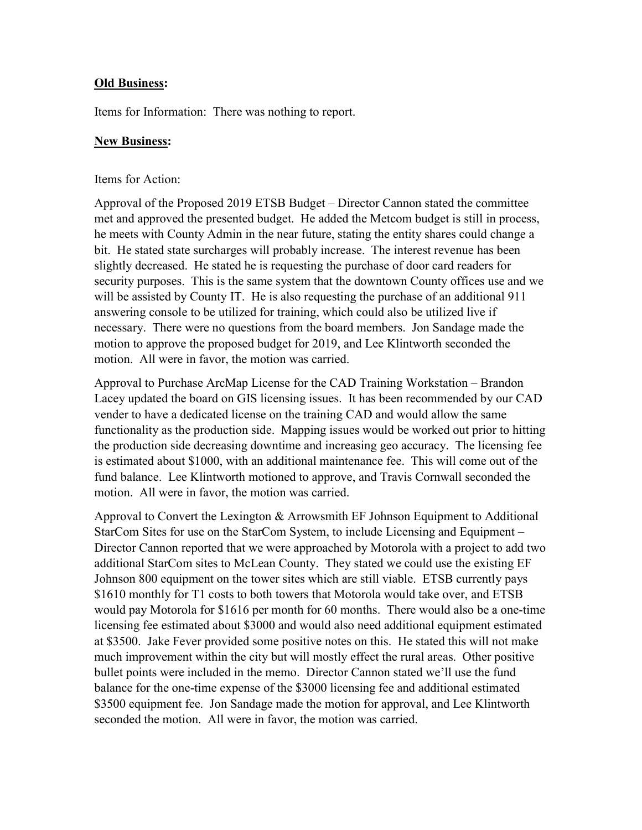#### Old Business:

Items for Information: There was nothing to report.

#### New Business:

#### Items for Action:

Approval of the Proposed 2019 ETSB Budget – Director Cannon stated the committee met and approved the presented budget. He added the Metcom budget is still in process, he meets with County Admin in the near future, stating the entity shares could change a bit. He stated state surcharges will probably increase. The interest revenue has been slightly decreased. He stated he is requesting the purchase of door card readers for security purposes. This is the same system that the downtown County offices use and we will be assisted by County IT. He is also requesting the purchase of an additional 911 answering console to be utilized for training, which could also be utilized live if necessary. There were no questions from the board members. Jon Sandage made the motion to approve the proposed budget for 2019, and Lee Klintworth seconded the motion. All were in favor, the motion was carried.

Approval to Purchase ArcMap License for the CAD Training Workstation – Brandon Lacey updated the board on GIS licensing issues. It has been recommended by our CAD vender to have a dedicated license on the training CAD and would allow the same functionality as the production side. Mapping issues would be worked out prior to hitting the production side decreasing downtime and increasing geo accuracy. The licensing fee is estimated about \$1000, with an additional maintenance fee. This will come out of the fund balance. Lee Klintworth motioned to approve, and Travis Cornwall seconded the motion. All were in favor, the motion was carried.

Approval to Convert the Lexington & Arrowsmith EF Johnson Equipment to Additional StarCom Sites for use on the StarCom System, to include Licensing and Equipment – Director Cannon reported that we were approached by Motorola with a project to add two additional StarCom sites to McLean County. They stated we could use the existing EF Johnson 800 equipment on the tower sites which are still viable. ETSB currently pays \$1610 monthly for T1 costs to both towers that Motorola would take over, and ETSB would pay Motorola for \$1616 per month for 60 months. There would also be a one-time licensing fee estimated about \$3000 and would also need additional equipment estimated at \$3500. Jake Fever provided some positive notes on this. He stated this will not make much improvement within the city but will mostly effect the rural areas. Other positive bullet points were included in the memo. Director Cannon stated we'll use the fund balance for the one-time expense of the \$3000 licensing fee and additional estimated \$3500 equipment fee. Jon Sandage made the motion for approval, and Lee Klintworth seconded the motion. All were in favor, the motion was carried.